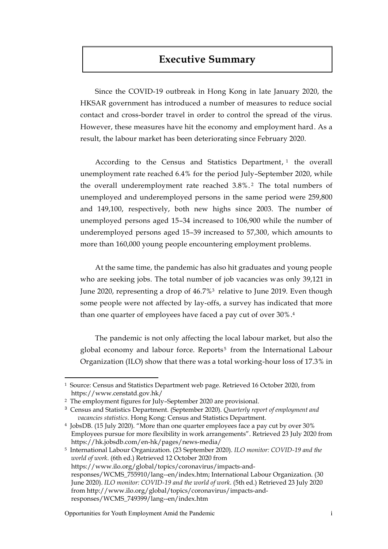# **Executive Summary**

Since the COVID-19 outbreak in Hong Kong in late January 2020, the HKSAR government has introduced a number of measures to reduce social contact and cross-border travel in order to control the spread of the virus. However, these measures have hit the economy and employment hard. As a result, the labour market has been deteriorating since February 2020.

According to the Census and Statistics Department, <sup>1</sup> the overall unemployment rate reached 6.4% for the period July–September 2020, while the overall underemployment rate reached 3.8%. <sup>2</sup> The total numbers of unemployed and underemployed persons in the same period were 259,800 and 149,100, respectively, both new highs since 2003. The number of unemployed persons aged 15–34 increased to 106,900 while the number of underemployed persons aged 15–39 increased to 57,300, which amounts to more than 160,000 young people encountering employment problems.

At the same time, the pandemic has also hit graduates and young people who are seeking jobs. The total number of job vacancies was only 39,121 in June 2020, representing a drop of 46.7%<sup>3</sup> relative to June 2019. Even though some people were not affected by lay-offs, a survey has indicated that more than one quarter of employees have faced a pay cut of over 30%. 4

The pandemic is not only affecting the local labour market, but also the global economy and labour force. Reports<sup>5</sup> from the International Labour Organization (ILO) show that there was a total working-hour loss of 17.3% in

 $\overline{a}$ 

<sup>1</sup> Source: Census and Statistics Department web page. Retrieved 16 October 2020, from https://www.censtatd.gov.hk/

<sup>2</sup> The employment figures for July–September 2020 are provisional.

<sup>3</sup> Census and Statistics Department. (September 2020). *Quarterly report of employment and vacancies statistics*. Hong Kong: Census and Statistics Department.

<sup>4</sup> JobsDB. (15 July 2020). "More than one quarter employees face a pay cut by over 30% Employees pursue for more flexibility in work arrangements". Retrieved 23 July 2020 from https://hk.jobsdb.com/en-hk/pages/news-media/

<sup>5</sup> International Labour Organization. (23 September 2020). *ILO monitor: COVID-19 and the world of work*. (6th ed.) Retrieved 12 October 2020 from https://www.ilo.org/global/topics/coronavirus/impacts-andresponses/WCMS\_755910/lang--en/index.htm; International Labour Organization. (30 June 2020). *ILO monitor: COVID-19 and the world of work*. (5th ed.) Retrieved 23 July 2020 from http://www.ilo.org/global/topics/coronavirus/impacts-andresponses/WCMS\_749399/lang--en/index.htm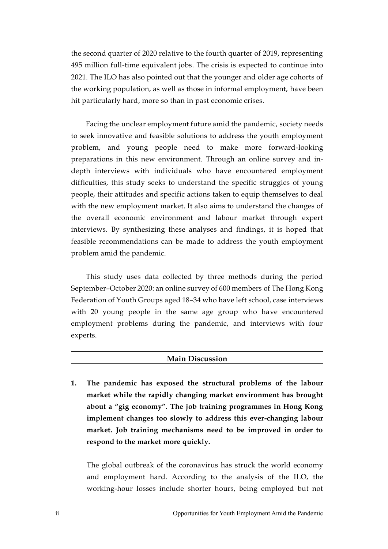the second quarter of 2020 relative to the fourth quarter of 2019, representing 495 million full-time equivalent jobs. The crisis is expected to continue into 2021. The ILO has also pointed out that the younger and older age cohorts of the working population, as well as those in informal employment, have been hit particularly hard, more so than in past economic crises.

Facing the unclear employment future amid the pandemic, society needs to seek innovative and feasible solutions to address the youth employment problem, and young people need to make more forward-looking preparations in this new environment. Through an online survey and indepth interviews with individuals who have encountered employment difficulties, this study seeks to understand the specific struggles of young people, their attitudes and specific actions taken to equip themselves to deal with the new employment market. It also aims to understand the changes of the overall economic environment and labour market through expert interviews. By synthesizing these analyses and findings, it is hoped that feasible recommendations can be made to address the youth employment problem amid the pandemic.

This study uses data collected by three methods during the period September–October 2020: an online survey of 600 members of The Hong Kong Federation of Youth Groups aged 18–34 who have left school, case interviews with 20 young people in the same age group who have encountered employment problems during the pandemic, and interviews with four experts.

#### **Main Discussion**

**1. The pandemic has exposed the structural problems of the labour market while the rapidly changing market environment has brought about a "gig economy". The job training programmes in Hong Kong implement changes too slowly to address this ever-changing labour market. Job training mechanisms need to be improved in order to respond to the market more quickly.**

The global outbreak of the coronavirus has struck the world economy and employment hard. According to the analysis of the ILO, the working-hour losses include shorter hours, being employed but not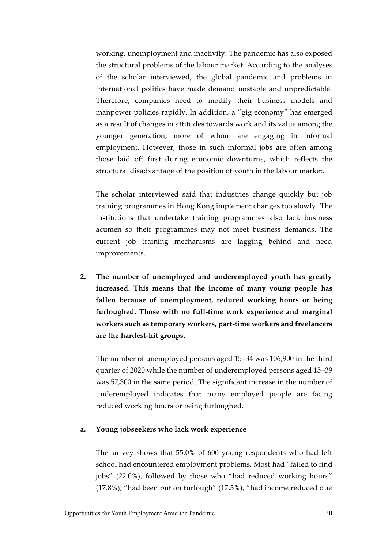working, unemployment and inactivity. The pandemic has also exposed the structural problems of the labour market. According to the analyses of the scholar interviewed, the global pandemic and problems in international politics have made demand unstable and unpredictable. Therefore, companies need to modify their business models and manpower policies rapidly. In addition, a "gig economy" has emerged as a result of changes in attitudes towards work and its value among the younger generation, more of whom are engaging in informal employment. However, those in such informal jobs are often among those laid off first during economic downturns, which reflects the structural disadvantage of the position of youth in the labour market.

The scholar interviewed said that industries change quickly but job training programmes in Hong Kong implement changes too slowly. The institutions that undertake training programmes also lack business acumen so their programmes may not meet business demands. The current job training mechanisms are lagging behind and need improvements.

**2. The number of unemployed and underemployed youth has greatly increased. This means that the income of many young people has fallen because of unemployment, reduced working hours or being furloughed. Those with no full-time work experience and marginal workers such as temporary workers, part-time workers and freelancers are the hardest-hit groups.**

The number of unemployed persons aged 15–34 was 106,900 in the third quarter of 2020 while the number of underemployed persons aged 15–39 was 57,300 in the same period. The significant increase in the number of underemployed indicates that many employed people are facing reduced working hours or being furloughed.

### **a. Young jobseekers who lack work experience**

The survey shows that 55.0% of 600 young respondents who had left school had encountered employment problems. Most had "failed to find jobs" (22.0%), followed by those who "had reduced working hours" (17.8%), "had been put on furlough" (17.5%), "had income reduced due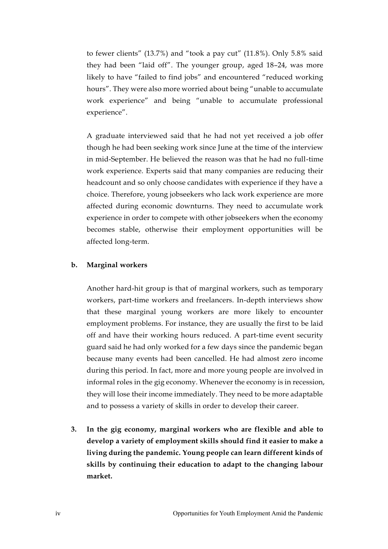to fewer clients" (13.7%) and "took a pay cut" (11.8%). Only 5.8% said they had been "laid off". The younger group, aged 18–24, was more likely to have "failed to find jobs" and encountered "reduced working hours". They were also more worried about being "unable to accumulate work experience" and being "unable to accumulate professional experience".

A graduate interviewed said that he had not yet received a job offer though he had been seeking work since June at the time of the interview in mid-September. He believed the reason was that he had no full-time work experience. Experts said that many companies are reducing their headcount and so only choose candidates with experience if they have a choice. Therefore, young jobseekers who lack work experience are more affected during economic downturns. They need to accumulate work experience in order to compete with other jobseekers when the economy becomes stable, otherwise their employment opportunities will be affected long-term.

### **b. Marginal workers**

Another hard-hit group is that of marginal workers, such as temporary workers, part-time workers and freelancers. In-depth interviews show that these marginal young workers are more likely to encounter employment problems. For instance, they are usually the first to be laid off and have their working hours reduced. A part-time event security guard said he had only worked for a few days since the pandemic began because many events had been cancelled. He had almost zero income during this period. In fact, more and more young people are involved in informal roles in the gig economy. Whenever the economy is in recession, they will lose their income immediately. They need to be more adaptable and to possess a variety of skills in order to develop their career.

**3. In the gig economy, marginal workers who are flexible and able to develop a variety of employment skills should find it easier to make a living during the pandemic. Young people can learn different kinds of skills by continuing their education to adapt to the changing labour market.**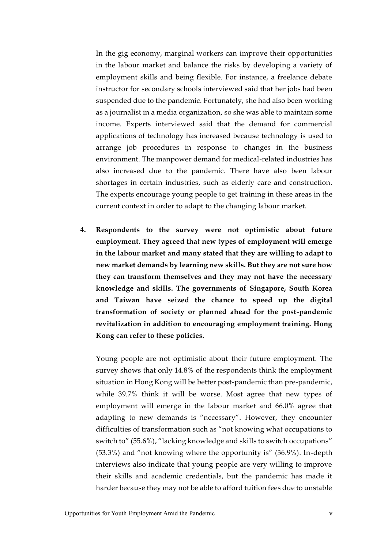In the gig economy, marginal workers can improve their opportunities in the labour market and balance the risks by developing a variety of employment skills and being flexible. For instance, a freelance debate instructor for secondary schools interviewed said that her jobs had been suspended due to the pandemic. Fortunately, she had also been working as a journalist in a media organization, so she was able to maintain some income. Experts interviewed said that the demand for commercial applications of technology has increased because technology is used to arrange job procedures in response to changes in the business environment. The manpower demand for medical-related industries has also increased due to the pandemic. There have also been labour shortages in certain industries, such as elderly care and construction. The experts encourage young people to get training in these areas in the current context in order to adapt to the changing labour market.

**4. Respondents to the survey were not optimistic about future employment. They agreed that new types of employment will emerge in the labour market and many stated that they are willing to adapt to new market demands by learning new skills. But they are not sure how they can transform themselves and they may not have the necessary knowledge and skills. The governments of Singapore, South Korea and Taiwan have seized the chance to speed up the digital transformation of society or planned ahead for the post-pandemic revitalization in addition to encouraging employment training. Hong Kong can refer to these policies.**

Young people are not optimistic about their future employment. The survey shows that only 14.8% of the respondents think the employment situation in Hong Kong will be better post-pandemic than pre-pandemic, while 39.7% think it will be worse. Most agree that new types of employment will emerge in the labour market and 66.0% agree that adapting to new demands is "necessary". However, they encounter difficulties of transformation such as "not knowing what occupations to switch to" (55.6%), "lacking knowledge and skills to switch occupations" (53.3%) and "not knowing where the opportunity is" (36.9%). In-depth interviews also indicate that young people are very willing to improve their skills and academic credentials, but the pandemic has made it harder because they may not be able to afford tuition fees due to unstable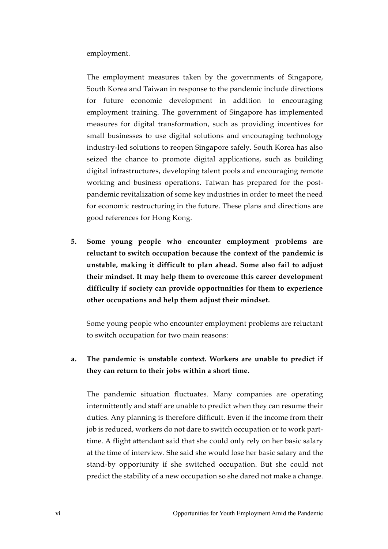employment.

The employment measures taken by the governments of Singapore, South Korea and Taiwan in response to the pandemic include directions for future economic development in addition to encouraging employment training. The government of Singapore has implemented measures for digital transformation, such as providing incentives for small businesses to use digital solutions and encouraging technology industry-led solutions to reopen Singapore safely. South Korea has also seized the chance to promote digital applications, such as building digital infrastructures, developing talent pools and encouraging remote working and business operations. Taiwan has prepared for the postpandemic revitalization of some key industries in order to meet the need for economic restructuring in the future. These plans and directions are good references for Hong Kong.

**5. Some young people who encounter employment problems are reluctant to switch occupation because the context of the pandemic is unstable, making it difficult to plan ahead. Some also fail to adjust their mindset. It may help them to overcome this career development difficulty if society can provide opportunities for them to experience other occupations and help them adjust their mindset.**

Some young people who encounter employment problems are reluctant to switch occupation for two main reasons:

## **a. The pandemic is unstable context. Workers are unable to predict if they can return to their jobs within a short time.**

The pandemic situation fluctuates. Many companies are operating intermittently and staff are unable to predict when they can resume their duties. Any planning is therefore difficult. Even if the income from their job is reduced, workers do not dare to switch occupation or to work parttime. A flight attendant said that she could only rely on her basic salary at the time of interview. She said she would lose her basic salary and the stand-by opportunity if she switched occupation. But she could not predict the stability of a new occupation so she dared not make a change.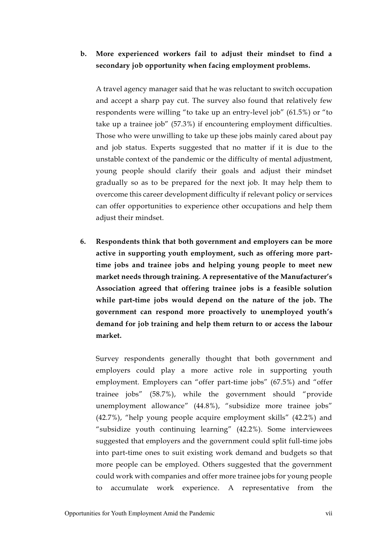## **b. More experienced workers fail to adjust their mindset to find a secondary job opportunity when facing employment problems.**

A travel agency manager said that he was reluctant to switch occupation and accept a sharp pay cut. The survey also found that relatively few respondents were willing "to take up an entry-level job" (61.5%) or "to take up a trainee job" (57.3%) if encountering employment difficulties. Those who were unwilling to take up these jobs mainly cared about pay and job status. Experts suggested that no matter if it is due to the unstable context of the pandemic or the difficulty of mental adjustment, young people should clarify their goals and adjust their mindset gradually so as to be prepared for the next job. It may help them to overcome this career development difficulty if relevant policy or services can offer opportunities to experience other occupations and help them adjust their mindset.

**6. Respondents think that both government and employers can be more active in supporting youth employment, such as offering more parttime jobs and trainee jobs and helping young people to meet new market needs through training. A representative of the Manufacturer's Association agreed that offering trainee jobs is a feasible solution while part-time jobs would depend on the nature of the job. The government can respond more proactively to unemployed youth's demand for job training and help them return to or access the labour market.**

Survey respondents generally thought that both government and employers could play a more active role in supporting youth employment. Employers can "offer part-time jobs" (67.5%) and "offer trainee jobs" (58.7%), while the government should "provide unemployment allowance" (44.8%), "subsidize more trainee jobs" (42.7%), "help young people acquire employment skills" (42.2%) and "subsidize youth continuing learning" (42.2%). Some interviewees suggested that employers and the government could split full-time jobs into part-time ones to suit existing work demand and budgets so that more people can be employed. Others suggested that the government could work with companies and offer more trainee jobs for young people to accumulate work experience. A representative from the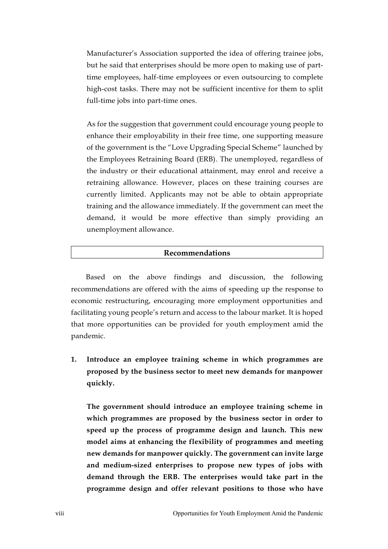Manufacturer's Association supported the idea of offering trainee jobs, but he said that enterprises should be more open to making use of parttime employees, half-time employees or even outsourcing to complete high-cost tasks. There may not be sufficient incentive for them to split full-time jobs into part-time ones.

As for the suggestion that government could encourage young people to enhance their employability in their free time, one supporting measure of the government is the "Love Upgrading Special Scheme" launched by the Employees Retraining Board (ERB). The unemployed, regardless of the industry or their educational attainment, may enrol and receive a retraining allowance. However, places on these training courses are currently limited. Applicants may not be able to obtain appropriate training and the allowance immediately. If the government can meet the demand, it would be more effective than simply providing an unemployment allowance.

### **Recommendations**

Based on the above findings and discussion, the following recommendations are offered with the aims of speeding up the response to economic restructuring, encouraging more employment opportunities and facilitating young people's return and access to the labour market. It is hoped that more opportunities can be provided for youth employment amid the pandemic.

**1. Introduce an employee training scheme in which programmes are proposed by the business sector to meet new demands for manpower quickly.**

**The government should introduce an employee training scheme in which programmes are proposed by the business sector in order to speed up the process of programme design and launch. This new model aims at enhancing the flexibility of programmes and meeting new demands for manpower quickly. The government can invite large and medium-sized enterprises to propose new types of jobs with demand through the ERB. The enterprises would take part in the programme design and offer relevant positions to those who have**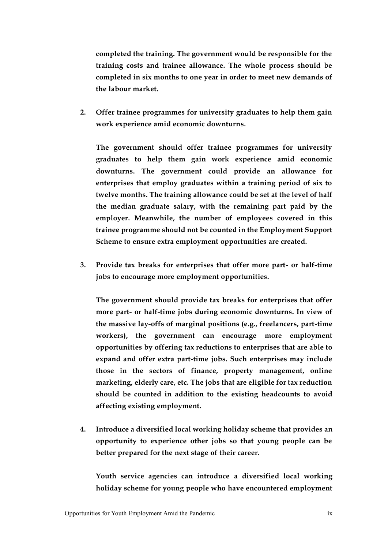**completed the training. The government would be responsible for the training costs and trainee allowance. The whole process should be completed in six months to one year in order to meet new demands of the labour market.**

**2. Offer trainee programmes for university graduates to help them gain work experience amid economic downturns.**

**The government should offer trainee programmes for university graduates to help them gain work experience amid economic downturns. The government could provide an allowance for enterprises that employ graduates within a training period of six to twelve months. The training allowance could be set at the level of half the median graduate salary, with the remaining part paid by the employer. Meanwhile, the number of employees covered in this trainee programme should not be counted in the Employment Support Scheme to ensure extra employment opportunities are created.**

**3. Provide tax breaks for enterprises that offer more part- or half-time jobs to encourage more employment opportunities.**

**The government should provide tax breaks for enterprises that offer more part- or half-time jobs during economic downturns. In view of the massive lay-offs of marginal positions (e.g., freelancers, part-time workers), the government can encourage more employment opportunities by offering tax reductions to enterprises that are able to expand and offer extra part-time jobs. Such enterprises may include those in the sectors of finance, property management, online marketing, elderly care, etc. The jobs that are eligible for tax reduction should be counted in addition to the existing headcounts to avoid affecting existing employment.**

**4. Introduce a diversified local working holiday scheme that provides an opportunity to experience other jobs so that young people can be better prepared for the next stage of their career.**

**Youth service agencies can introduce a diversified local working holiday scheme for young people who have encountered employment**